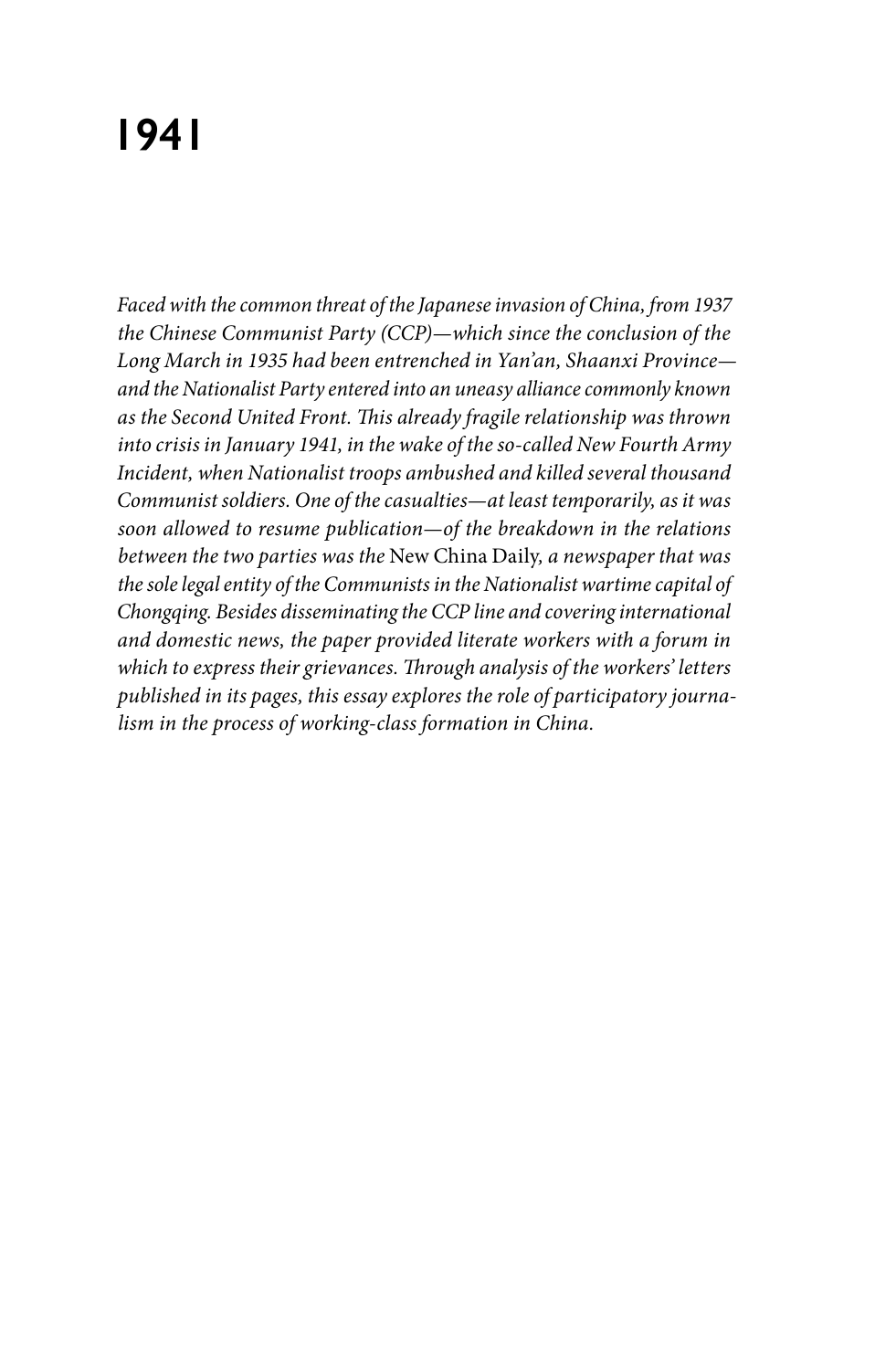# **1941**

*Faced with the common threat of the Japanese invasion of China, from 1937 the Chinese Communist Party (CCP)—which since the conclusion of the Long March in 1935 had been entrenched in Yan'an, Shaanxi Province and the Nationalist Party entered into an uneasy alliance commonly known as the Second United Front. This already fragile relationship was thrown into crisis in January 1941, in the wake of the so-called New Fourth Army Incident, when Nationalist troops ambushed and killed several thousand Communist soldiers. One of the casualties—at least temporarily, as it was soon allowed to resume publication—of the breakdown in the relations between the two parties was the* New China Daily*, a newspaper that was the sole legal entity of the Communists in the Nationalist wartime capital of Chongqing. Besides disseminating the CCP line and covering international and domestic news, the paper provided literate workers with a forum in which to express their grievances. Through analysis of the workers' letters published in its pages, this essay explores the role of participatory journalism in the process of working-class formation in China.*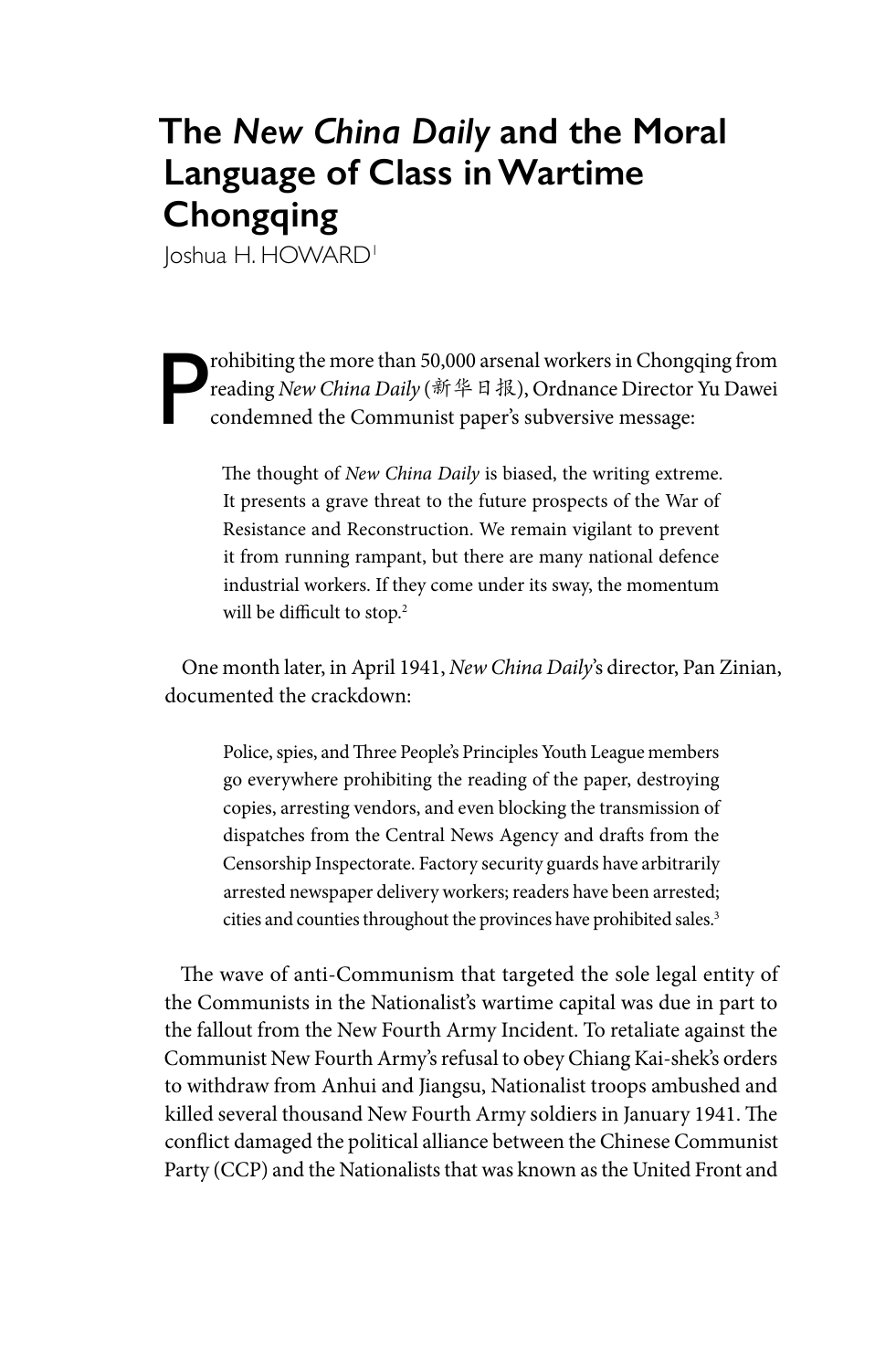## **The** *New China Daily* **and the Moral Language of Class in Wartime Chongqing**

loshua H. HOWARD<sup>1</sup>

P rohibiting the more than 50,000 arsenal workers in Chongqing from reading *New China Daily* (新华日报), Ordnance Director Yu Dawei condemned the Communist paper's subversive message:

> The thought of *New China Daily* is biased, the writing extreme. It presents a grave threat to the future prospects of the War of Resistance and Reconstruction. We remain vigilant to prevent it from running rampant, but there are many national defence industrial workers. If they come under its sway, the momentum will be difficult to stop.<sup>2</sup>

One month later, in April 1941, *New China Daily*'s director, Pan Zinian, documented the crackdown:

Police, spies, and Three People's Principles Youth League members go everywhere prohibiting the reading of the paper, destroying copies, arresting vendors, and even blocking the transmission of dispatches from the Central News Agency and drafts from the Censorship Inspectorate. Factory security guards have arbitrarily arrested newspaper delivery workers; readers have been arrested; cities and counties throughout the provinces have prohibited sales.<sup>3</sup>

The wave of anti-Communism that targeted the sole legal entity of the Communists in the Nationalist's wartime capital was due in part to the fallout from the New Fourth Army Incident. To retaliate against the Communist New Fourth Army's refusal to obey Chiang Kai-shek's orders to withdraw from Anhui and Jiangsu, Nationalist troops ambushed and killed several thousand New Fourth Army soldiers in January 1941. The conflict damaged the political alliance between the Chinese Communist Party (CCP) and the Nationalists that was known as the United Front and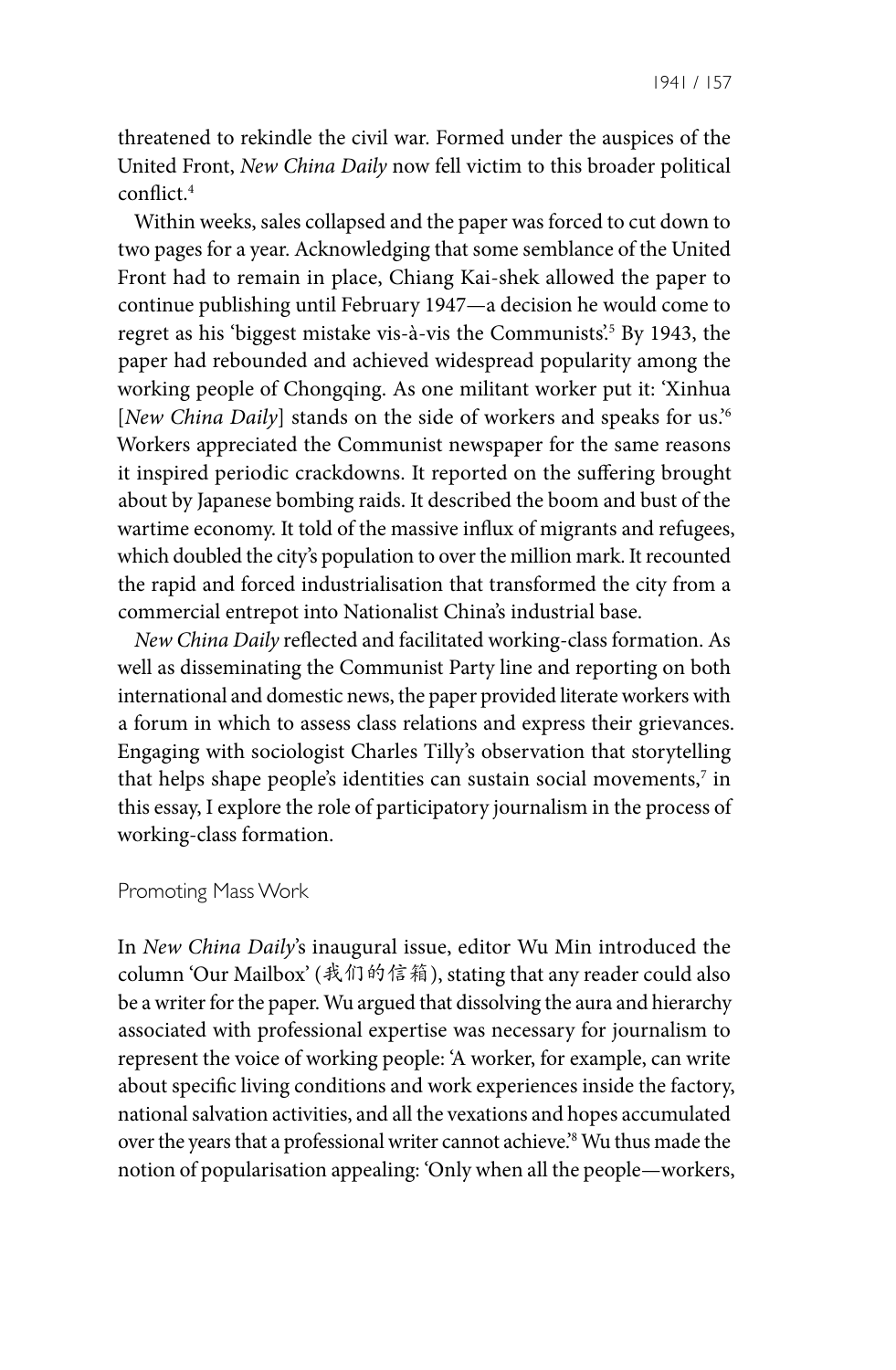threatened to rekindle the civil war. Formed under the auspices of the United Front, *New China Daily* now fell victim to this broader political conflict.4

Within weeks, sales collapsed and the paper was forced to cut down to two pages for a year. Acknowledging that some semblance of the United Front had to remain in place, Chiang Kai-shek allowed the paper to continue publishing until February 1947—a decision he would come to regret as his 'biggest mistake vis-à-vis the Communists'.5 By 1943, the paper had rebounded and achieved widespread popularity among the working people of Chongqing. As one militant worker put it: 'Xinhua [*New China Daily*] stands on the side of workers and speaks for us.'6 Workers appreciated the Communist newspaper for the same reasons it inspired periodic crackdowns. It reported on the suffering brought about by Japanese bombing raids. It described the boom and bust of the wartime economy. It told of the massive influx of migrants and refugees, which doubled the city's population to over the million mark. It recounted the rapid and forced industrialisation that transformed the city from a commercial entrepot into Nationalist China's industrial base.

*New China Daily* reflected and facilitated working-class formation. As well as disseminating the Communist Party line and reporting on both international and domestic news, the paper provided literate workers with a forum in which to assess class relations and express their grievances. Engaging with sociologist Charles Tilly's observation that storytelling that helps shape people's identities can sustain social movements, $^7$  in this essay, I explore the role of participatory journalism in the process of working-class formation.

#### Promoting Mass Work

In *New China Daily*'s inaugural issue, editor Wu Min introduced the column 'Our Mailbox' (我们的信箱), stating that any reader could also be a writer for the paper. Wu argued that dissolving the aura and hierarchy associated with professional expertise was necessary for journalism to represent the voice of working people: 'A worker, for example, can write about specific living conditions and work experiences inside the factory, national salvation activities, and all the vexations and hopes accumulated over the years that a professional writer cannot achieve.'8 Wu thus made the notion of popularisation appealing: 'Only when all the people—workers,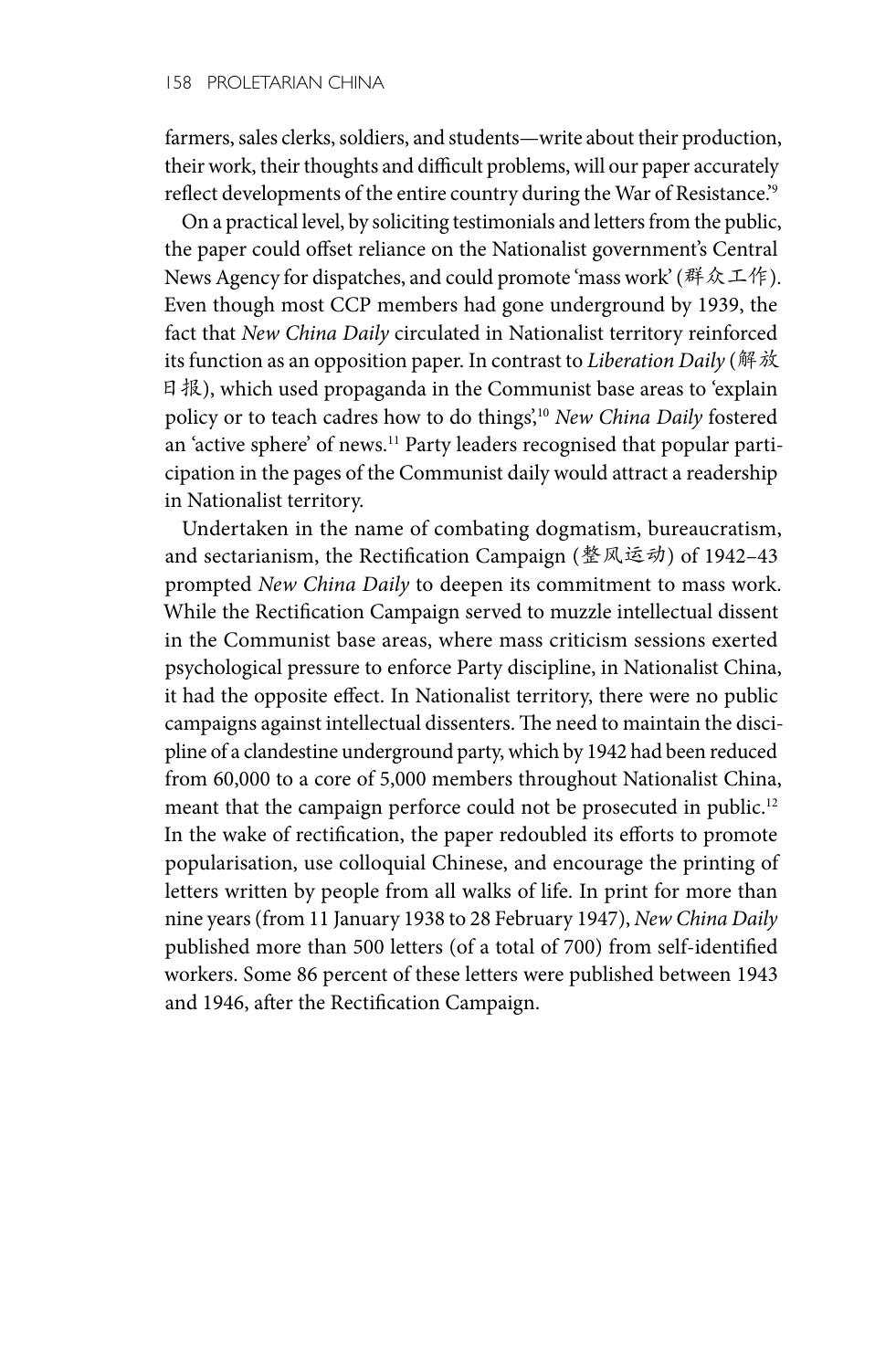farmers, sales clerks, soldiers, and students—write about their production, their work, their thoughts and difficult problems, will our paper accurately reflect developments of the entire country during the War of Resistance.'9

On a practical level, by soliciting testimonials and letters from the public, the paper could offset reliance on the Nationalist government's Central News Agency for dispatches, and could promote 'mass work' (群众工作). Even though most CCP members had gone underground by 1939, the fact that *New China Daily* circulated in Nationalist territory reinforced its function as an opposition paper. In contrast to *Liberation Daily* (解放 日报), which used propaganda in the Communist base areas to 'explain policy or to teach cadres how to do things',10 *New China Daily* fostered an 'active sphere' of news.<sup>11</sup> Party leaders recognised that popular participation in the pages of the Communist daily would attract a readership in Nationalist territory.

Undertaken in the name of combating dogmatism, bureaucratism, and sectarianism, the Rectification Campaign (整风运动) of 1942–43 prompted *New China Daily* to deepen its commitment to mass work. While the Rectification Campaign served to muzzle intellectual dissent in the Communist base areas, where mass criticism sessions exerted psychological pressure to enforce Party discipline, in Nationalist China, it had the opposite effect. In Nationalist territory, there were no public campaigns against intellectual dissenters. The need to maintain the discipline of a clandestine underground party, which by 1942 had been reduced from 60,000 to a core of 5,000 members throughout Nationalist China, meant that the campaign perforce could not be prosecuted in public.<sup>12</sup> In the wake of rectification, the paper redoubled its efforts to promote popularisation, use colloquial Chinese, and encourage the printing of letters written by people from all walks of life. In print for more than nine years (from 11 January 1938 to 28 February 1947), *New China Daily*  published more than 500 letters (of a total of 700) from self-identified workers. Some 86 percent of these letters were published between 1943 and 1946, after the Rectification Campaign.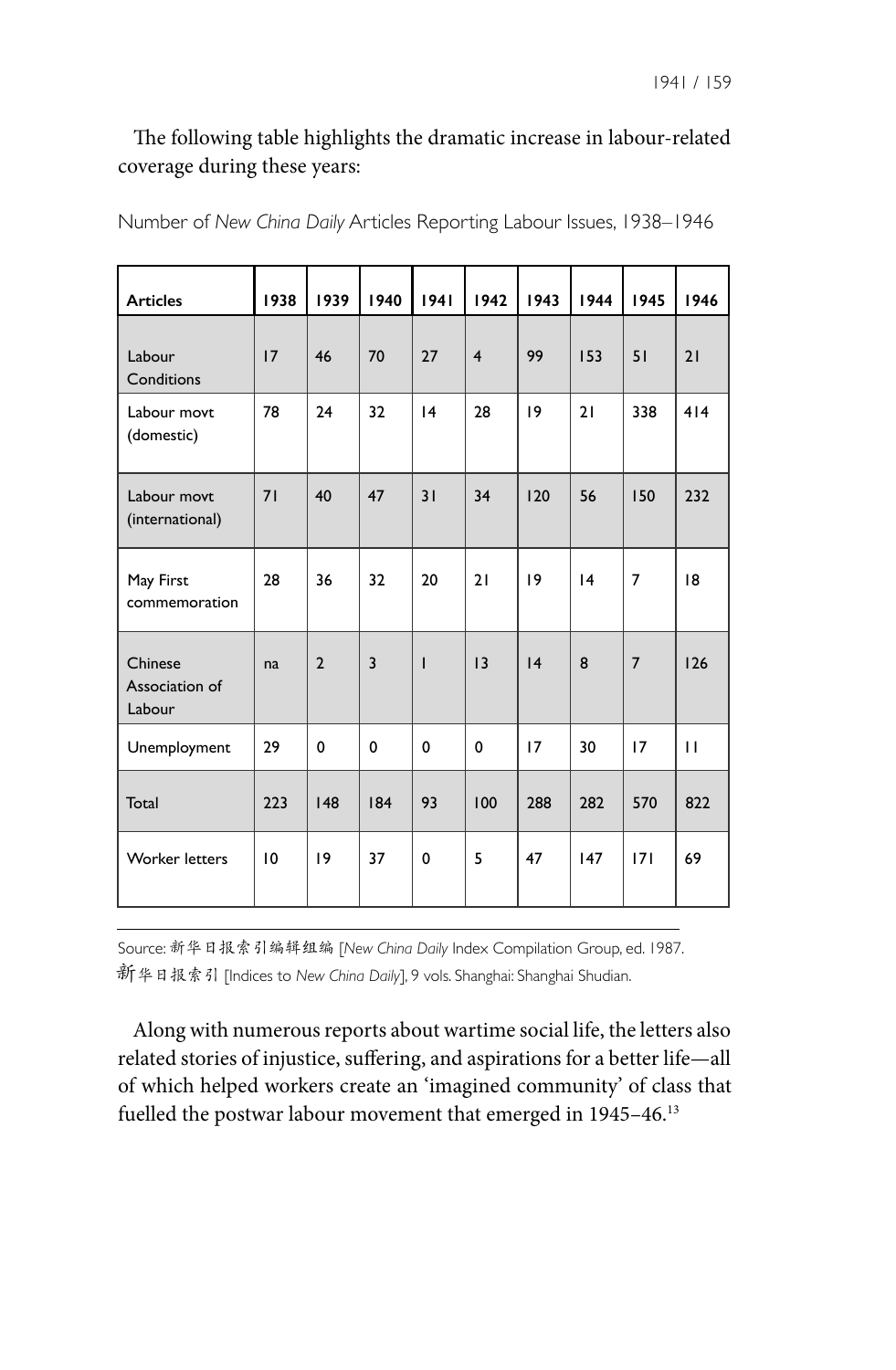### The following table highlights the dramatic increase in labour-related coverage during these years:

| <b>Articles</b>                     | 1938 | 1939           | 1940           | 1941            | 1942                    | 1943 | 1944 | 1945           | 1946         |
|-------------------------------------|------|----------------|----------------|-----------------|-------------------------|------|------|----------------|--------------|
| Labour<br>Conditions                | 17   | 46             | 70             | 27              | $\overline{\mathbf{4}}$ | 99   | 153  | 51             | 21           |
| Labour movt<br>(domestic)           | 78   | 24             | 32             | $\overline{14}$ | 28                      | 19   | 21   | 338            | 414          |
| Labour movt<br>(international)      | 71   | 40             | 47             | 31              | 34                      | 120  | 56   | 150            | 232          |
| May First<br>commemoration          | 28   | 36             | 32             | 20              | 21                      | 19   | 4    | 7              | 18           |
| Chinese<br>Association of<br>Labour | na   | $\overline{2}$ | $\overline{3}$ | T               | 13                      | 4    | 8    | $\overline{7}$ | 126          |
| Unemployment                        | 29   | 0              | 0              | 0               | 0                       | 17   | 30   | 17             | $\mathbf{H}$ |
| Total                               | 223  | 148            | 184            | 93              | 100                     | 288  | 282  | 570            | 822          |
| <b>Worker letters</b>               | 10   | 19             | 37             | 0               | 5                       | 47   | 147  | 171            | 69           |

Number of *New China Daily* Articles Reporting Labour Issues, 1938–1946

Source: 新华日报索引编辑组编 [*New China Daily* Index Compilation Group, ed. 1987. 新华日报索引 [Indices to *New China Daily*], 9 vols. Shanghai: Shanghai Shudian.

Along with numerous reports about wartime social life, the letters also related stories of injustice, suffering, and aspirations for a better life—all of which helped workers create an 'imagined community' of class that fuelled the postwar labour movement that emerged in 1945-46.<sup>13</sup>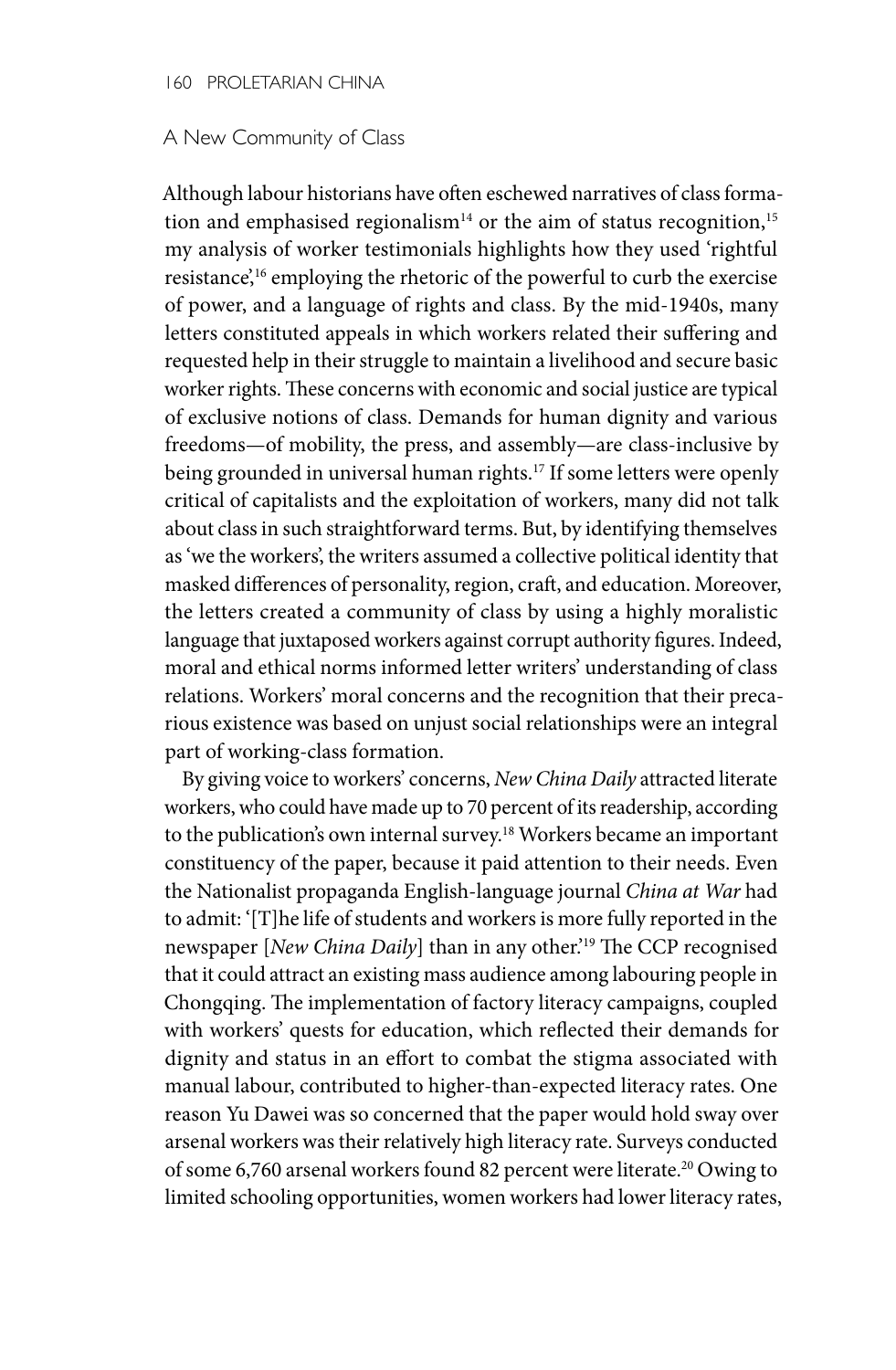#### 160 PROLETARIAN CHINA

#### A New Community of Class

Although labour historians have often eschewed narratives of class formation and emphasised regionalism<sup>14</sup> or the aim of status recognition,<sup>15</sup> my analysis of worker testimonials highlights how they used 'rightful resistance',16 employing the rhetoric of the powerful to curb the exercise of power, and a language of rights and class. By the mid-1940s, many letters constituted appeals in which workers related their suffering and requested help in their struggle to maintain a livelihood and secure basic worker rights. These concerns with economic and social justice are typical of exclusive notions of class. Demands for human dignity and various freedoms—of mobility, the press, and assembly—are class-inclusive by being grounded in universal human rights.<sup>17</sup> If some letters were openly critical of capitalists and the exploitation of workers, many did not talk about class in such straightforward terms. But, by identifying themselves as 'we the workers', the writers assumed a collective political identity that masked differences of personality, region, craft, and education. Moreover, the letters created a community of class by using a highly moralistic language that juxtaposed workers against corrupt authority figures. Indeed, moral and ethical norms informed letter writers' understanding of class relations. Workers' moral concerns and the recognition that their precarious existence was based on unjust social relationships were an integral part of working-class formation.

By giving voice to workers' concerns, *New China Daily* attracted literate workers, who could have made up to 70 percent of its readership, according to the publication's own internal survey.18 Workers became an important constituency of the paper, because it paid attention to their needs. Even the Nationalist propaganda English-language journal *China at War* had to admit: '[T]he life of students and workers is more fully reported in the newspaper [*New China Daily*] than in any other.'19 The CCP recognised that it could attract an existing mass audience among labouring people in Chongqing. The implementation of factory literacy campaigns, coupled with workers' quests for education, which reflected their demands for dignity and status in an effort to combat the stigma associated with manual labour, contributed to higher-than-expected literacy rates. One reason Yu Dawei was so concerned that the paper would hold sway over arsenal workers was their relatively high literacy rate. Surveys conducted of some 6,760 arsenal workers found 82 percent were literate.20 Owing to limited schooling opportunities, women workers had lower literacy rates,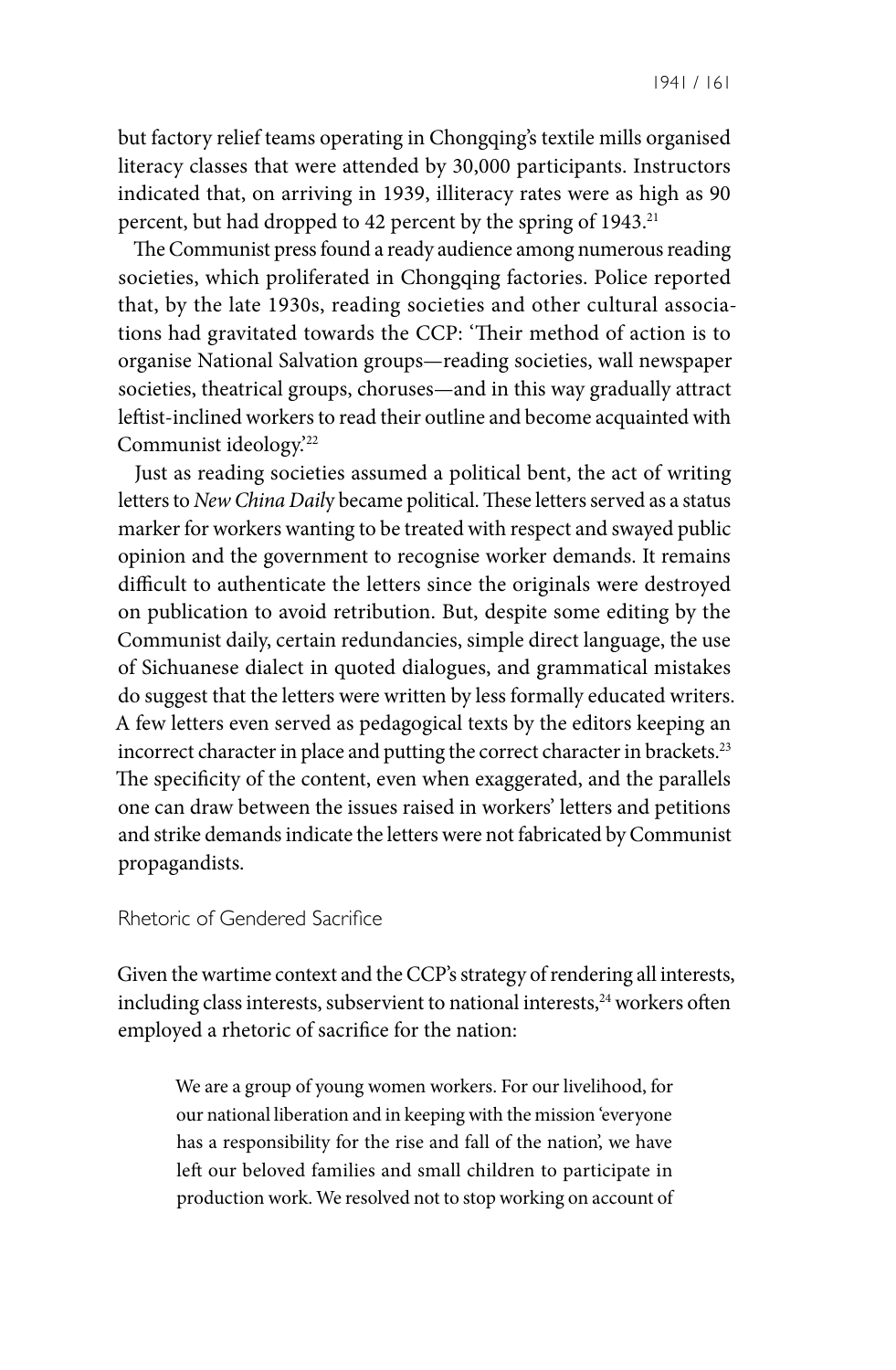1941 / 161

but factory relief teams operating in Chongqing's textile mills organised literacy classes that were attended by 30,000 participants. Instructors indicated that, on arriving in 1939, illiteracy rates were as high as 90 percent, but had dropped to 42 percent by the spring of 1943.<sup>21</sup>

The Communist press found a ready audience among numerous reading societies, which proliferated in Chongqing factories. Police reported that, by the late 1930s, reading societies and other cultural associations had gravitated towards the CCP: 'Their method of action is to organise National Salvation groups—reading societies, wall newspaper societies, theatrical groups, choruses—and in this way gradually attract leftist-inclined workers to read their outline and become acquainted with Communist ideology.'22

Just as reading societies assumed a political bent, the act of writing letters to *New China Dail*y became political. These letters served as a status marker for workers wanting to be treated with respect and swayed public opinion and the government to recognise worker demands. It remains difficult to authenticate the letters since the originals were destroyed on publication to avoid retribution. But, despite some editing by the Communist daily, certain redundancies, simple direct language, the use of Sichuanese dialect in quoted dialogues, and grammatical mistakes do suggest that the letters were written by less formally educated writers. A few letters even served as pedagogical texts by the editors keeping an incorrect character in place and putting the correct character in brackets.<sup>23</sup> The specificity of the content, even when exaggerated, and the parallels one can draw between the issues raised in workers' letters and petitions and strike demands indicate the letters were not fabricated by Communist propagandists.

Rhetoric of Gendered Sacrifice

Given the wartime context and the CCP's strategy of rendering all interests, including class interests, subservient to national interests,<sup>24</sup> workers often employed a rhetoric of sacrifice for the nation:

We are a group of young women workers. For our livelihood, for our national liberation and in keeping with the mission 'everyone has a responsibility for the rise and fall of the nation', we have left our beloved families and small children to participate in production work. We resolved not to stop working on account of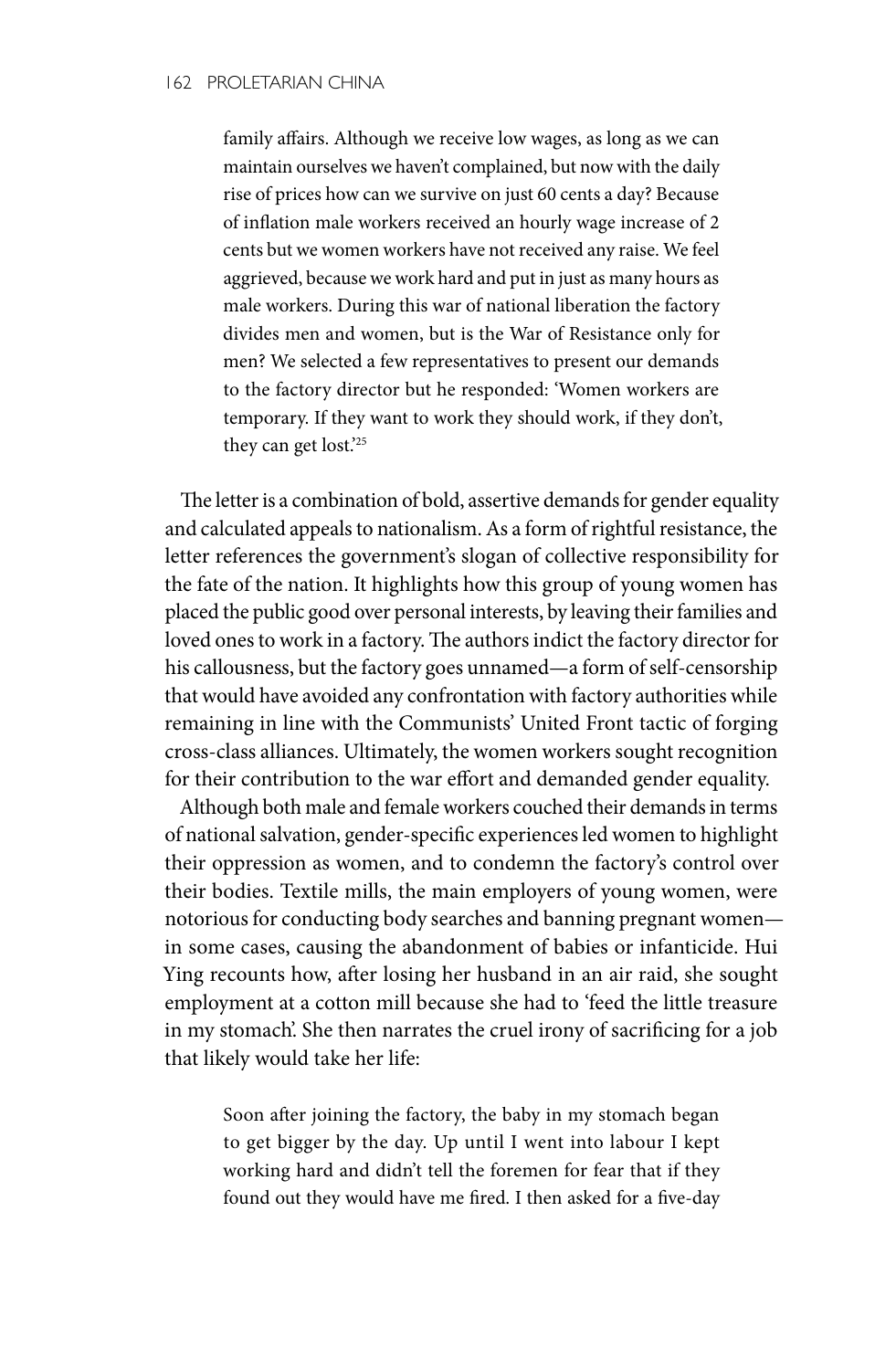family affairs. Although we receive low wages, as long as we can maintain ourselves we haven't complained, but now with the daily rise of prices how can we survive on just 60 cents a day? Because of inflation male workers received an hourly wage increase of 2 cents but we women workers have not received any raise. We feel aggrieved, because we work hard and put in just as many hours as male workers. During this war of national liberation the factory divides men and women, but is the War of Resistance only for men? We selected a few representatives to present our demands to the factory director but he responded: 'Women workers are temporary. If they want to work they should work, if they don't, they can get lost.'25

The letter is a combination of bold, assertive demands for gender equality and calculated appeals to nationalism. As a form of rightful resistance, the letter references the government's slogan of collective responsibility for the fate of the nation. It highlights how this group of young women has placed the public good over personal interests, by leaving their families and loved ones to work in a factory. The authors indict the factory director for his callousness, but the factory goes unnamed—a form of self-censorship that would have avoided any confrontation with factory authorities while remaining in line with the Communists' United Front tactic of forging cross-class alliances. Ultimately, the women workers sought recognition for their contribution to the war effort and demanded gender equality.

Although both male and female workers couched their demands in terms of national salvation, gender-specific experiences led women to highlight their oppression as women, and to condemn the factory's control over their bodies. Textile mills, the main employers of young women, were notorious for conducting body searches and banning pregnant women in some cases, causing the abandonment of babies or infanticide. Hui Ying recounts how, after losing her husband in an air raid, she sought employment at a cotton mill because she had to 'feed the little treasure in my stomach'. She then narrates the cruel irony of sacrificing for a job that likely would take her life:

Soon after joining the factory, the baby in my stomach began to get bigger by the day. Up until I went into labour I kept working hard and didn't tell the foremen for fear that if they found out they would have me fired. I then asked for a five-day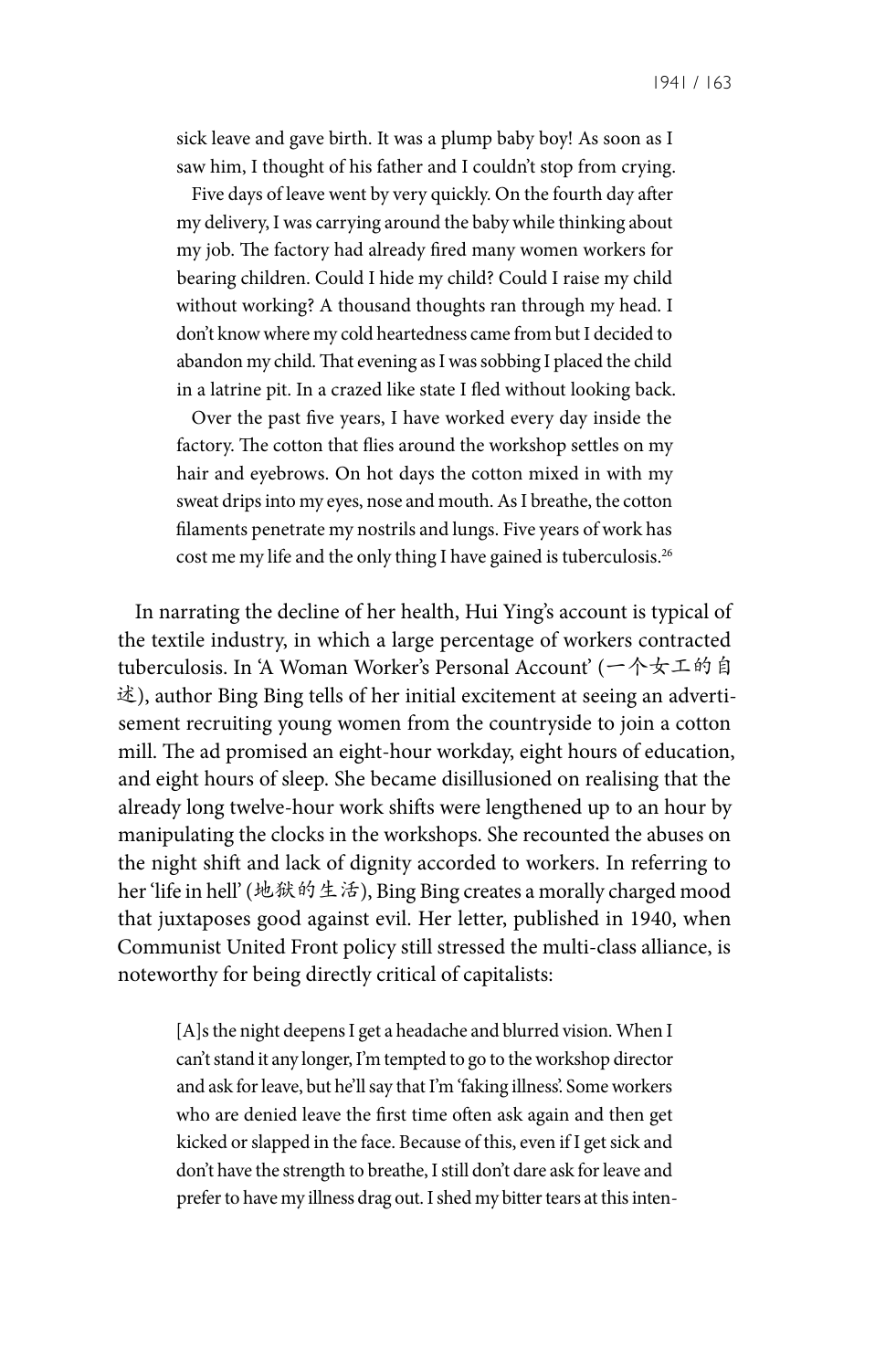sick leave and gave birth. It was a plump baby boy! As soon as I saw him, I thought of his father and I couldn't stop from crying.

Five days of leave went by very quickly. On the fourth day after my delivery, I was carrying around the baby while thinking about my job. The factory had already fired many women workers for bearing children. Could I hide my child? Could I raise my child without working? A thousand thoughts ran through my head. I don't know where my cold heartedness came from but I decided to abandon my child. That evening as I was sobbing I placed the child in a latrine pit. In a crazed like state I fled without looking back.

Over the past five years, I have worked every day inside the factory. The cotton that flies around the workshop settles on my hair and eyebrows. On hot days the cotton mixed in with my sweat drips into my eyes, nose and mouth. As I breathe, the cotton filaments penetrate my nostrils and lungs. Five years of work has cost me my life and the only thing I have gained is tuberculosis.26

In narrating the decline of her health, Hui Ying's account is typical of the textile industry, in which a large percentage of workers contracted tuberculosis. In 'A Woman Worker's Personal Account' (一个女工的自 述), author Bing Bing tells of her initial excitement at seeing an advertisement recruiting young women from the countryside to join a cotton mill. The ad promised an eight-hour workday, eight hours of education, and eight hours of sleep. She became disillusioned on realising that the already long twelve-hour work shifts were lengthened up to an hour by manipulating the clocks in the workshops. She recounted the abuses on the night shift and lack of dignity accorded to workers. In referring to her 'life in hell' (地狱的生活), Bing Bing creates a morally charged mood that juxtaposes good against evil. Her letter, published in 1940, when Communist United Front policy still stressed the multi-class alliance, is noteworthy for being directly critical of capitalists:

[A]s the night deepens I get a headache and blurred vision. When I can't stand it any longer, I'm tempted to go to the workshop director and ask for leave, but he'll say that I'm 'faking illness'. Some workers who are denied leave the first time often ask again and then get kicked or slapped in the face. Because of this, even if I get sick and don't have the strength to breathe, I still don't dare ask for leave and prefer to have my illness drag out. I shed my bitter tears at this inten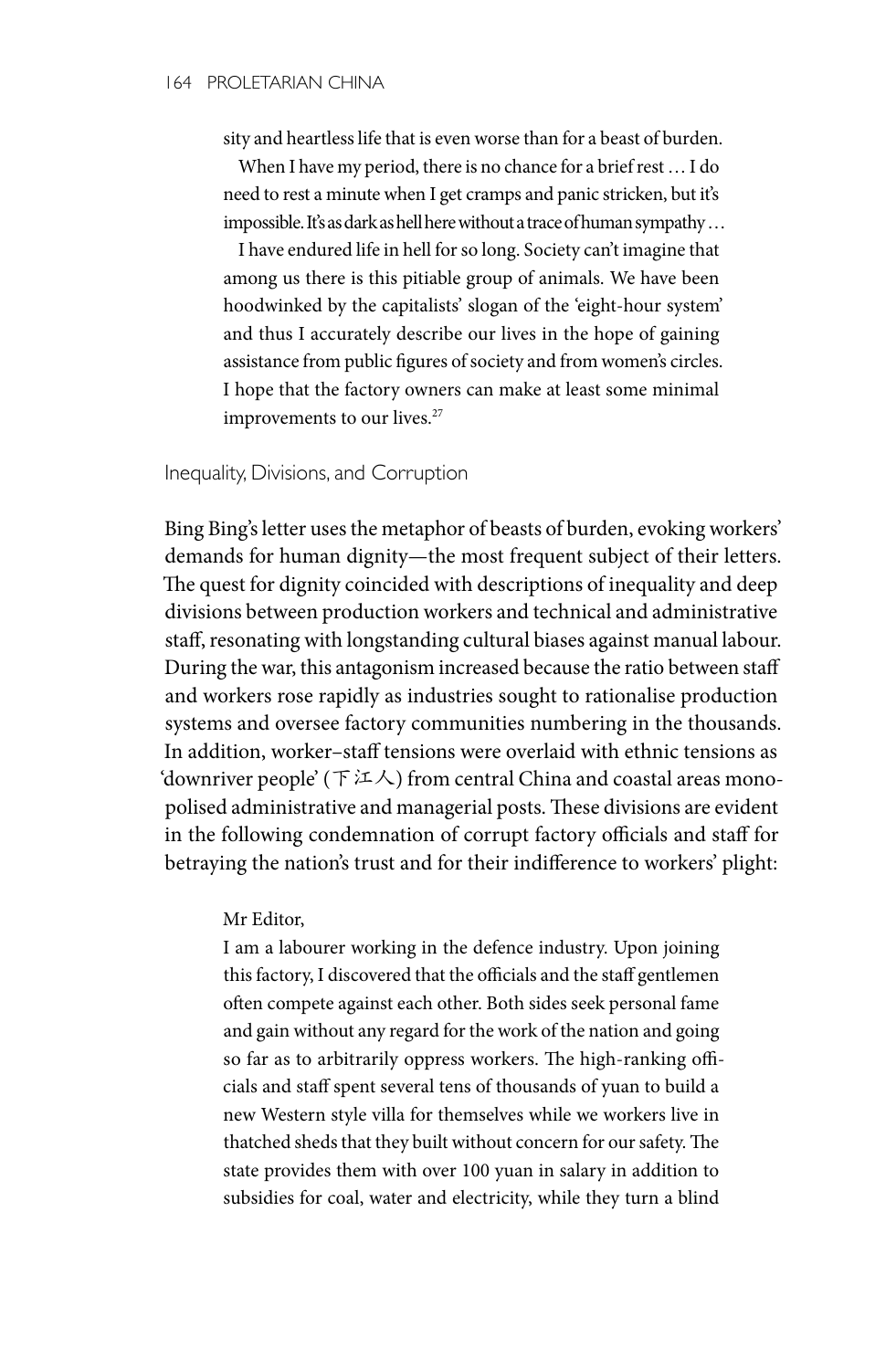sity and heartless life that is even worse than for a beast of burden.

When I have my period, there is no chance for a brief rest … I do need to rest a minute when I get cramps and panic stricken, but it's impossible. It's as dark as hell here without a trace of human sympathy ...

I have endured life in hell for so long. Society can't imagine that among us there is this pitiable group of animals. We have been hoodwinked by the capitalists' slogan of the 'eight-hour system' and thus I accurately describe our lives in the hope of gaining assistance from public figures of society and from women's circles. I hope that the factory owners can make at least some minimal improvements to our lives.<sup>27</sup>

#### Inequality, Divisions, and Corruption

Bing Bing's letter uses the metaphor of beasts of burden, evoking workers' demands for human dignity—the most frequent subject of their letters. The quest for dignity coincided with descriptions of inequality and deep divisions between production workers and technical and administrative staff, resonating with longstanding cultural biases against manual labour. During the war, this antagonism increased because the ratio between staff and workers rose rapidly as industries sought to rationalise production systems and oversee factory communities numbering in the thousands. In addition, worker–staff tensions were overlaid with ethnic tensions as 'downriver people' ( $\top \in \Lambda$ ) from central China and coastal areas monopolised administrative and managerial posts. These divisions are evident in the following condemnation of corrupt factory officials and staff for betraying the nation's trust and for their indifference to workers' plight:

#### Mr Editor,

I am a labourer working in the defence industry. Upon joining this factory, I discovered that the officials and the staff gentlemen often compete against each other. Both sides seek personal fame and gain without any regard for the work of the nation and going so far as to arbitrarily oppress workers. The high-ranking officials and staff spent several tens of thousands of yuan to build a new Western style villa for themselves while we workers live in thatched sheds that they built without concern for our safety. The state provides them with over 100 yuan in salary in addition to subsidies for coal, water and electricity, while they turn a blind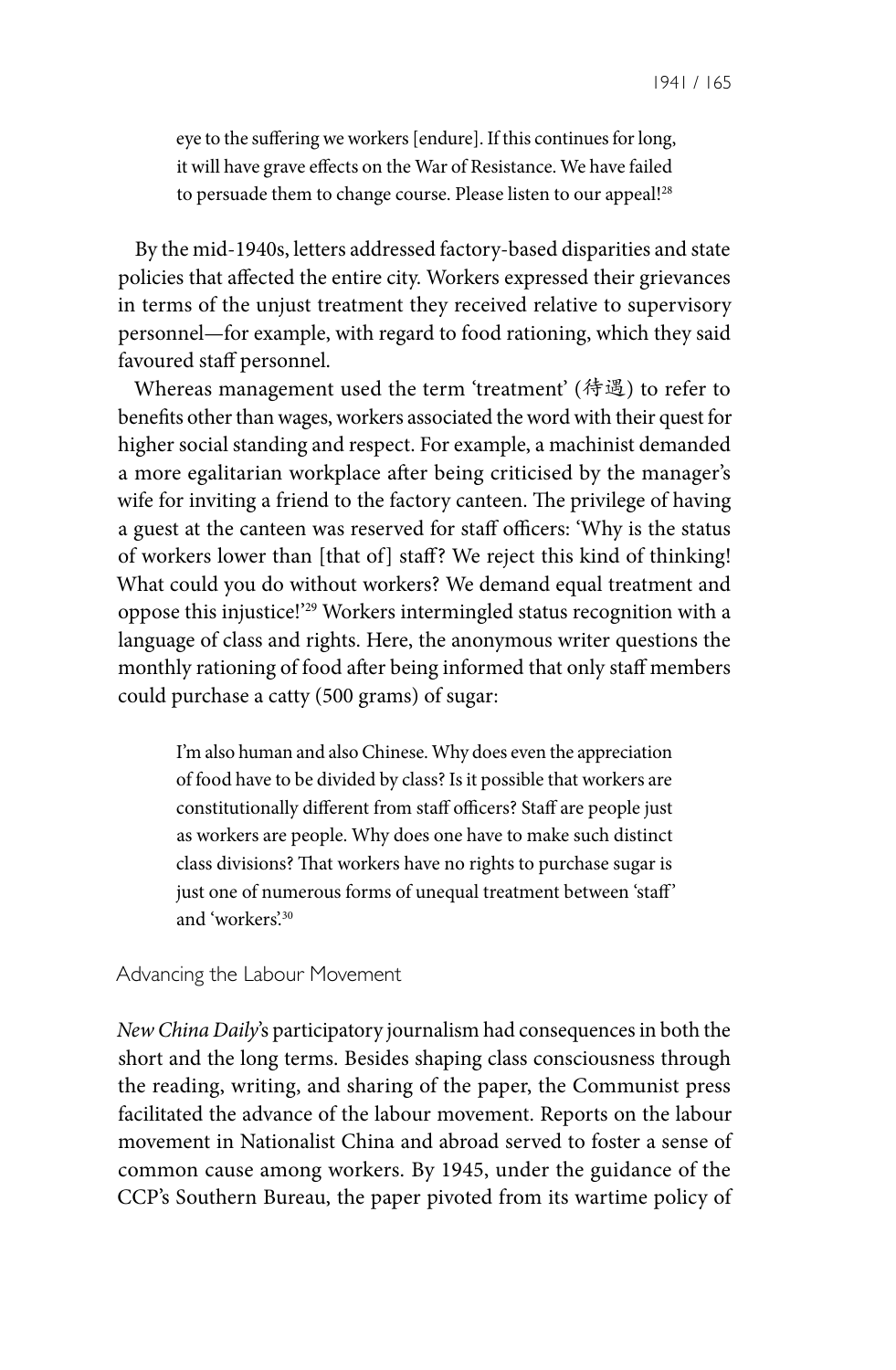eye to the suffering we workers [endure]. If this continues for long, it will have grave effects on the War of Resistance. We have failed to persuade them to change course. Please listen to our appeal!<sup>28</sup>

By the mid-1940s, letters addressed factory-based disparities and state policies that affected the entire city. Workers expressed their grievances in terms of the unjust treatment they received relative to supervisory personnel—for example, with regard to food rationing, which they said favoured staff personnel.

Whereas management used the term 'treatment' (待遇) to refer to benefits other than wages, workers associated the word with their quest for higher social standing and respect. For example, a machinist demanded a more egalitarian workplace after being criticised by the manager's wife for inviting a friend to the factory canteen. The privilege of having a guest at the canteen was reserved for staff officers: 'Why is the status of workers lower than [that of] staff? We reject this kind of thinking! What could you do without workers? We demand equal treatment and oppose this injustice!'29 Workers intermingled status recognition with a language of class and rights. Here, the anonymous writer questions the monthly rationing of food after being informed that only staff members could purchase a catty (500 grams) of sugar:

I'm also human and also Chinese. Why does even the appreciation of food have to be divided by class? Is it possible that workers are constitutionally different from staff officers? Staff are people just as workers are people. Why does one have to make such distinct class divisions? That workers have no rights to purchase sugar is just one of numerous forms of unequal treatment between 'staff' and 'workers'.30

#### Advancing the Labour Movement

*New China Daily*'s participatory journalism had consequences in both the short and the long terms. Besides shaping class consciousness through the reading, writing, and sharing of the paper, the Communist press facilitated the advance of the labour movement. Reports on the labour movement in Nationalist China and abroad served to foster a sense of common cause among workers. By 1945, under the guidance of the CCP's Southern Bureau, the paper pivoted from its wartime policy of